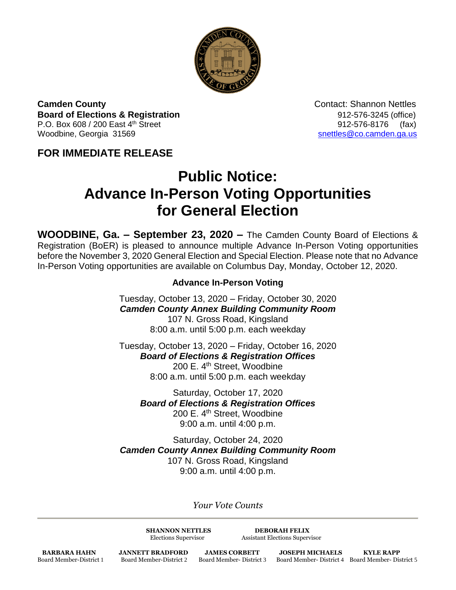

**Camden County Camden County Contact: Shannon Nettles Board of Elections & Registration** 8. **Board of Elections & Registration** P.O. Box 608 / 200 East 4<sup>th</sup> Street 912-576-8176 (fax) Woodbine, Georgia 31569 [snettles@co.camden.ga.us](mailto:snettles@co.camden.ga.us)

## **FOR IMMEDIATE RELEASE**

# **Public Notice: Advance In-Person Voting Opportunities for General Election**

**WOODBINE, Ga. – September 23, 2020 –** The Camden County Board of Elections & Registration (BoER) is pleased to announce multiple Advance In-Person Voting opportunities before the November 3, 2020 General Election and Special Election. Please note that no Advance In-Person Voting opportunities are available on Columbus Day, Monday, October 12, 2020.

### **Advance In-Person Voting**

Tuesday, October 13, 2020 – Friday, October 30, 2020 *Camden County Annex Building Community Room* 107 N. Gross Road, Kingsland 8:00 a.m. until 5:00 p.m. each weekday

Tuesday, October 13, 2020 – Friday, October 16, 2020 *Board of Elections & Registration Offices* 200 E. 4<sup>th</sup> Street, Woodbine 8:00 a.m. until 5:00 p.m. each weekday

Saturday, October 17, 2020 *Board of Elections & Registration Offices* 200 E. 4<sup>th</sup> Street, Woodbine 9:00 a.m. until 4:00 p.m.

Saturday, October 24, 2020 *Camden County Annex Building Community Room* 107 N. Gross Road, Kingsland 9:00 a.m. until 4:00 p.m.

*Your Vote Counts*

**SHANNON NETTLES DEBORAH FELIX**

Elections Supervisor Assistant Elections Supervisor

**BARBARA HAHN JANNETT BRADFORD JAMES CORBETT JOSEPH MICHAELS KYLE RAPP**<br>Board Member-District 1 Board Member-District 2 Board Member-District 3 Board Member-District 4 Board Member-Dis

Board Member-District 1 Board Member-District 2 Board Member- District 3 Board Member- District 4 Board Member- District 5